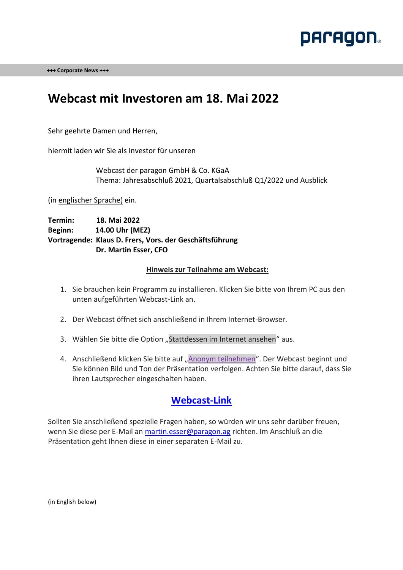

**+++ Corporate News +++** 

## **Webcast mit Investoren am 18. Mai 2022**

Sehr geehrte Damen und Herren,

hiermit laden wir Sie als Investor für unseren

Webcast der paragon GmbH & Co. KGaA Thema: Jahresabschluß 2021, Quartalsabschluß Q1/2022 und Ausblick

(in englischer Sprache) ein.

**Termin: 18. Mai 2022 Beginn: 14.00 Uhr (MEZ) Vortragende: Klaus D. Frers, Vors. der Geschäftsführung Dr. Martin Esser, CFO**

#### **Hinweis zur Teilnahme am Webcast:**

- 1. Sie brauchen kein Programm zu installieren. Klicken Sie bitte von Ihrem PC aus den unten aufgeführten Webcast-Link an.
- 2. Der Webcast öffnet sich anschließend in Ihrem Internet-Browser.
- 3. Wählen Sie bitte die Option "Stattdessen im Internet ansehen" aus.
- 4. Anschließend klicken Sie bitte auf "Anonym teilnehmen". Der Webcast beginnt und Sie können Bild und Ton der Präsentation verfolgen. Achten Sie bitte darauf, dass Sie ihren Lautsprecher eingeschalten haben.

### **[Webcast-Link](https://teams.microsoft.com/l/meetup-join/19%3ameeting_YTQ4MmFiOWEtNDY4YS00OGZlLTkwOWYtMDVkNTIzOTMxMmMw%40thread.v2/0?context=%7b%22Tid%22%3a%2289c6f5e2-02e3-49cc-b357-2f87ea3bf0d8%22%2c%22Oid%22%3a%221b233232-fbad-462c-b7b0-4c2810c3aaa4%22%2c%22IsBroadcastMeeting%22%3atrue%7d&btype=a&role=a)**

Sollten Sie anschließend spezielle Fragen haben, so würden wir uns sehr darüber freuen, wenn Sie diese per E-Mail an [martin.esser@paragon.ag](mailto:martin.esser@paragon.ag) richten. Im Anschluß an die Präsentation geht Ihnen diese in einer separaten E-Mail zu.

(in English below)